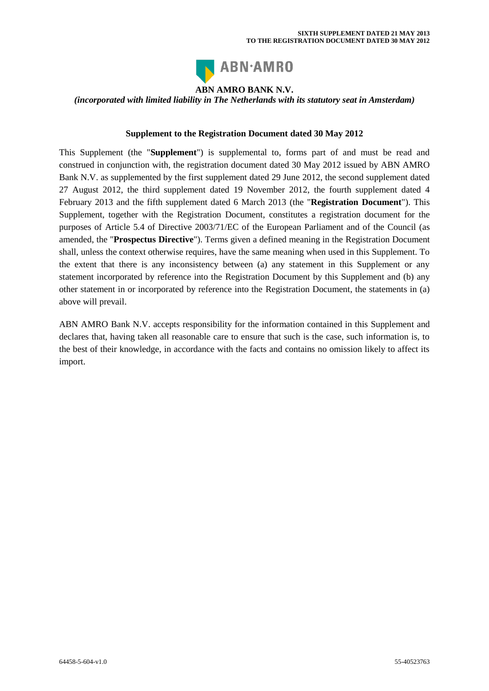

## **ABN AMRO BANK N.V.**

*(incorporated with limited liability in The Netherlands with its statutory seat in Amsterdam)*

## **Supplement to the Registration Document dated 30 May 2012**

This Supplement (the "**Supplement**") is supplemental to, forms part of and must be read and construed in conjunction with, the registration document dated 30 May 2012 issued by ABN AMRO Bank N.V. as supplemented by the first supplement dated 29 June 2012, the second supplement dated 27 August 2012, the third supplement dated 19 November 2012, the fourth supplement dated 4 February 2013 and the fifth supplement dated 6 March 2013 (the "**Registration Document**"). This Supplement, together with the Registration Document, constitutes a registration document for the purposes of Article 5.4 of Directive 2003/71/EC of the European Parliament and of the Council (as amended, the "**Prospectus Directive**"). Terms given a defined meaning in the Registration Document shall, unless the context otherwise requires, have the same meaning when used in this Supplement. To the extent that there is any inconsistency between (a) any statement in this Supplement or any statement incorporated by reference into the Registration Document by this Supplement and (b) any other statement in or incorporated by reference into the Registration Document, the statements in (a) above will prevail.

ABN AMRO Bank N.V. accepts responsibility for the information contained in this Supplement and declares that, having taken all reasonable care to ensure that such is the case, such information is, to the best of their knowledge, in accordance with the facts and contains no omission likely to affect its import.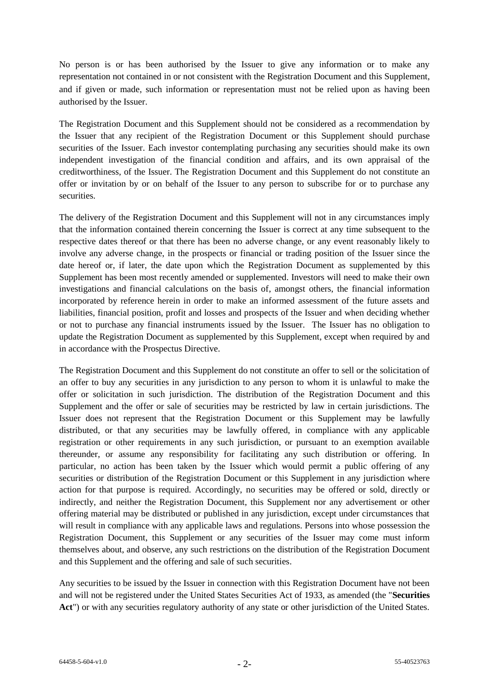No person is or has been authorised by the Issuer to give any information or to make any representation not contained in or not consistent with the Registration Document and this Supplement, and if given or made, such information or representation must not be relied upon as having been authorised by the Issuer.

The Registration Document and this Supplement should not be considered as a recommendation by the Issuer that any recipient of the Registration Document or this Supplement should purchase securities of the Issuer. Each investor contemplating purchasing any securities should make its own independent investigation of the financial condition and affairs, and its own appraisal of the creditworthiness, of the Issuer. The Registration Document and this Supplement do not constitute an offer or invitation by or on behalf of the Issuer to any person to subscribe for or to purchase any securities.

The delivery of the Registration Document and this Supplement will not in any circumstances imply that the information contained therein concerning the Issuer is correct at any time subsequent to the respective dates thereof or that there has been no adverse change, or any event reasonably likely to involve any adverse change, in the prospects or financial or trading position of the Issuer since the date hereof or, if later, the date upon which the Registration Document as supplemented by this Supplement has been most recently amended or supplemented. Investors will need to make their own investigations and financial calculations on the basis of, amongst others, the financial information incorporated by reference herein in order to make an informed assessment of the future assets and liabilities, financial position, profit and losses and prospects of the Issuer and when deciding whether or not to purchase any financial instruments issued by the Issuer. The Issuer has no obligation to update the Registration Document as supplemented by this Supplement, except when required by and in accordance with the Prospectus Directive.

The Registration Document and this Supplement do not constitute an offer to sell or the solicitation of an offer to buy any securities in any jurisdiction to any person to whom it is unlawful to make the offer or solicitation in such jurisdiction. The distribution of the Registration Document and this Supplement and the offer or sale of securities may be restricted by law in certain jurisdictions. The Issuer does not represent that the Registration Document or this Supplement may be lawfully distributed, or that any securities may be lawfully offered, in compliance with any applicable registration or other requirements in any such jurisdiction, or pursuant to an exemption available thereunder, or assume any responsibility for facilitating any such distribution or offering. In particular, no action has been taken by the Issuer which would permit a public offering of any securities or distribution of the Registration Document or this Supplement in any jurisdiction where action for that purpose is required. Accordingly, no securities may be offered or sold, directly or indirectly, and neither the Registration Document, this Supplement nor any advertisement or other offering material may be distributed or published in any jurisdiction, except under circumstances that will result in compliance with any applicable laws and regulations. Persons into whose possession the Registration Document, this Supplement or any securities of the Issuer may come must inform themselves about, and observe, any such restrictions on the distribution of the Registration Document and this Supplement and the offering and sale of such securities.

Any securities to be issued by the Issuer in connection with this Registration Document have not been and will not be registered under the United States Securities Act of 1933, as amended (the "**Securities Act**") or with any securities regulatory authority of any state or other jurisdiction of the United States.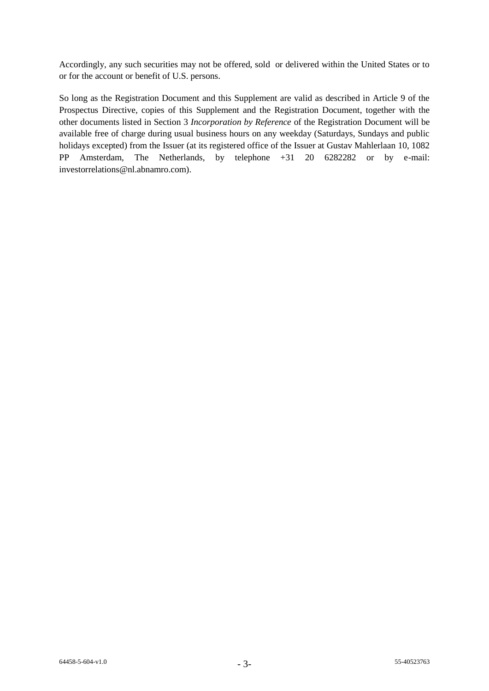Accordingly, any such securities may not be offered, sold or delivered within the United States or to or for the account or benefit of U.S. persons.

So long as the Registration Document and this Supplement are valid as described in Article 9 of the Prospectus Directive, copies of this Supplement and the Registration Document, together with the other documents listed in Section 3 *Incorporation by Reference* of the Registration Document will be available free of charge during usual business hours on any weekday (Saturdays, Sundays and public holidays excepted) from the Issuer (at its registered office of the Issuer at Gustav Mahlerlaan 10, 1082 PP Amsterdam, The Netherlands, by telephone +31 20 6282282 or by e-mail: investorrelations@nl.abnamro.com).